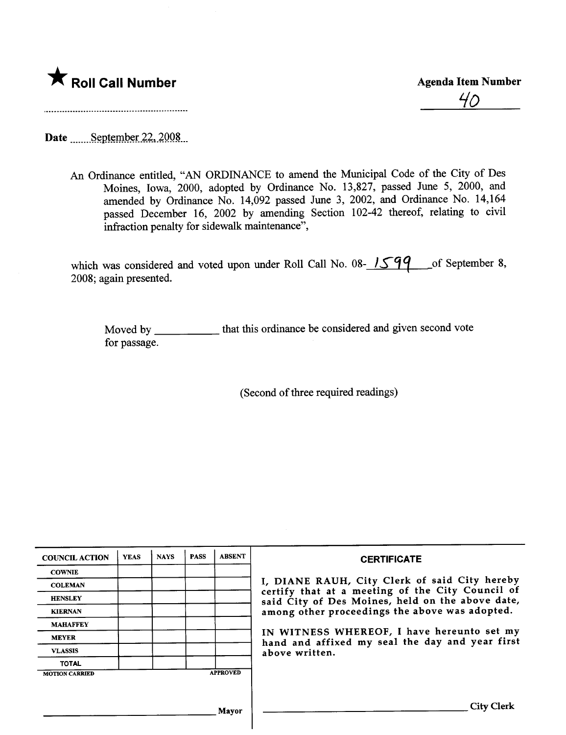

 $40$ 

Date manufactured Date metals. September 22, 2008.

An Ordinance entitled, "AN ORDINANCE to amend the Muncipal Code of the City of Des Moines, Iowa, 2000, adopted by Ordinance No. 13,827, passed June 5, 2000, and amended by Ordinance No. 14,092 passed June 3, 2002, and Ordinance No. 14,164 passed December 16, 2002 by amending Section 102-42 thereof, relating to civil infaction penalty for sidewalk maintenance",

which was considered and voted upon under Roll Call No. 08- $\sqrt{599}$  of September 8, 2008; again presented.

Moved by \_\_\_\_\_\_\_\_\_\_\_\_ that this ordinance be considered and given second vote for passage.

(Second of three required readings)

| <b>COUNCIL ACTION</b>                    | <b>YEAS</b> | <b>NAYS</b> | <b>PASS</b> | <b>ABSENT</b> | <b>CERTIFICATE</b>                                                                                                                                                                                                                                                                                                         |
|------------------------------------------|-------------|-------------|-------------|---------------|----------------------------------------------------------------------------------------------------------------------------------------------------------------------------------------------------------------------------------------------------------------------------------------------------------------------------|
| <b>COWNIE</b>                            |             |             |             |               | I, DIANE RAUH, City Clerk of said City hereby<br>certify that at a meeting of the City Council of<br>said City of Des Moines, held on the above date,<br>among other proceedings the above was adopted.<br>IN WITNESS WHEREOF, I have hereunto set my<br>hand and affixed my seal the day and year first<br>above written. |
| <b>COLEMAN</b>                           |             |             |             |               |                                                                                                                                                                                                                                                                                                                            |
| <b>HENSLEY</b>                           |             |             |             |               |                                                                                                                                                                                                                                                                                                                            |
| <b>KIERNAN</b>                           |             |             |             |               |                                                                                                                                                                                                                                                                                                                            |
| <b>MAHAFFEY</b>                          |             |             |             |               |                                                                                                                                                                                                                                                                                                                            |
| <b>MEYER</b>                             |             |             |             |               |                                                                                                                                                                                                                                                                                                                            |
| <b>VLASSIS</b>                           |             |             |             |               |                                                                                                                                                                                                                                                                                                                            |
| <b>TOTAL</b>                             |             |             |             |               |                                                                                                                                                                                                                                                                                                                            |
| <b>APPROVED</b><br><b>MOTION CARRIED</b> |             |             |             |               |                                                                                                                                                                                                                                                                                                                            |
|                                          |             |             |             |               |                                                                                                                                                                                                                                                                                                                            |
|                                          |             |             |             |               |                                                                                                                                                                                                                                                                                                                            |
|                                          |             |             |             | Mayor         | <b>City Clerk</b>                                                                                                                                                                                                                                                                                                          |
|                                          |             |             |             |               |                                                                                                                                                                                                                                                                                                                            |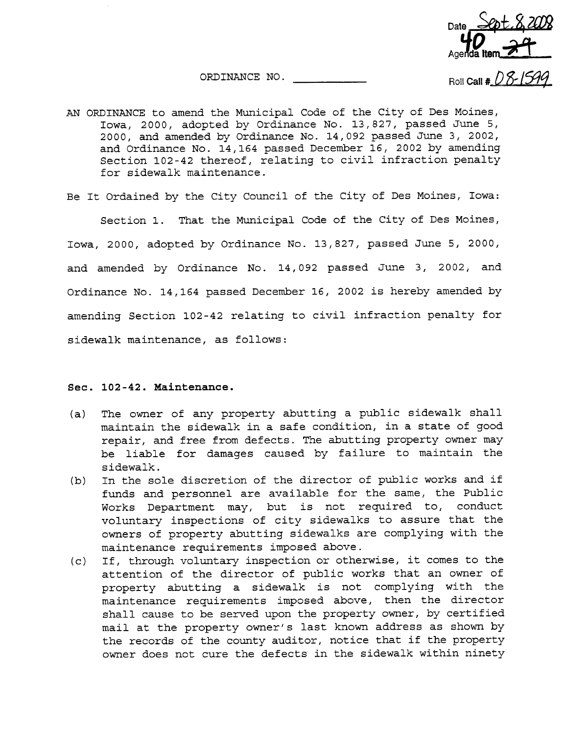Date <u>Sept. 8, 2008</u> Agenda Item

ORDINANCE NO.  $\frac{1}{\sqrt{3}}$  Foll Call # 0 8-1599

AN ORDINANCE to amend the Municipal Code of the City of Des Moines, Iowa, 2000, adopted by Ordinance No. 13,827, passed June 5, 2000, and amended by Ordinance No. 14,092 passed June 3, 2002, and Ordinance No. 14,164 passed December 16, 2002 by amending Section 102-42 thereof, relating to civil infraction penalty for sidewalk maintenance.

Be It Ordained by the City Council of the City of Des Moines, Iowa:

Section 1. That the Municipal Code of the City of Des Moines, Iowa, 2000, adopted by Ordinance No. 13,827, passed June 5, 2000, and amended by Ordinance No. 14,092 passed June 3, 2002, and Ordinance No. 14,164 passed December 16, 2002 is hereby amended by amending Section 102-42 relating to civil infraction penalty for sidewalk maintenance, as follows:

## Sec. 102 -42. Maintenance.

- (a) The owner of any property abutting a public sidewalk shall maintain the sidewalk in a safe condition, in a state of good repair, and free from defects. The abutting property owner may be liable for damages caused by failure to maintain the sidewalk.
- (b) In the sole discretion of the director of public works and if funds and personnel are available for the same, the Public Works Department may, but is not required to, conduct voluntary inspections of city sidewalks to assure that the owners of property abutting sidewalks are complying with the maintenance requirements imposed above.
- (c) If, through voluntary inspection or otherwise, it comes to the attention of the director of public works that an owner of property abutting a sidewalk is not complying with the maintenance requirements imposed above, then the director shall cause to be served upon the property owner, by certified mail at the property owner's last known address as shown by the records of the county auditor, notice that if the property owner does not cure the defects in the sidewalk within ninety